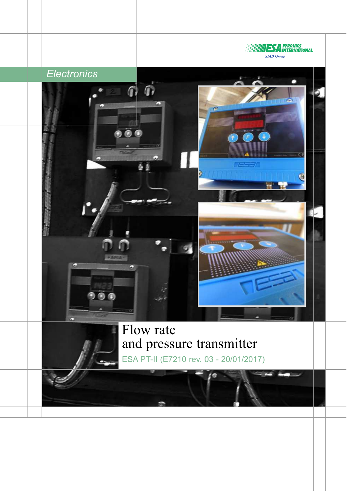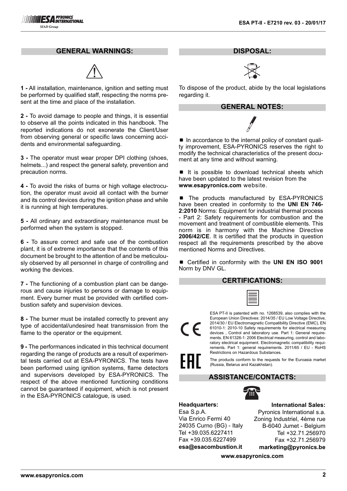## **GENERAL WARNINGS:**



**1 -** All installation, maintenance, ignition and setting must be performed by qualified staff, respecting the norms present at the time and place of the installation.

**2 -** To avoid damage to people and things, it is essential to observe all the points indicated in this handbook. The reported indications do not exonerate the Client/User from observing general or specific laws concerning accidents and environmental safeguarding.

**3 -** The operator must wear proper DPI clothing (shoes, helmets...) and respect the general safety, prevention and precaution norms.

**4 -** To avoid the risks of burns or high voltage electrocution, the operator must avoid all contact with the burner and its control devices during the ignition phase and while it is running at high temperatures.

**5 -** All ordinary and extraordinary maintenance must be performed when the system is stopped.

**6 -** To assure correct and safe use of the combustion plant, it is of extreme importance that the contents of this document be brought to the attention of and be meticulously observed by all personnel in charge of controlling and working the devices.

**7 -** The functioning of a combustion plant can be dangerous and cause injuries to persons or damage to equipment. Every burner must be provided with certified combustion safety and supervision devices.

**8 -** The burner must be installed correctly to prevent any type of accidental/undesired heat transmission from the flame to the operator or the equipment.

**9 -** The performances indicated in this technical document regarding the range of products are a result of experimental tests carried out at ESA-PYRONICS. The tests have been performed using ignition systems, flame detectors and supervisors developed by ESA-PYRONICS. The respect of the above mentioned functioning conditions cannot be guaranteed if equipment, which is not present in the ESA-PYRONICS catalogue, is used.

**DISPOSAL:**



To dispose of the product, abide by the local legislations regarding it.

## **GENERAL NOTES:**

■ In accordance to the internal policy of constant quality improvement, ESA-PYRONICS reserves the right to modify the technical characteristics of the present document at any time and without warning.

■ It is possible to download technical sheets which have been updated to the latest revision from the **www.esapyronics.com** website.

■ The products manufactured by ESA-PYRONICS have been created in conformity to the **UNI EN 746- 2:2010** Norms: Equipment for industrial thermal process - Part 2: Safety requirements for combustion and the movement and treatment of combustible elements. This norm is in harmony with the Machine Directive **2006/42/CE**. It is certified that the products in question respect all the requirements prescribed by the above mentioned Norms and Directives.

■ Certified in conformity with the **UNI EN ISO 9001** Norm by DNV GL.

## **CERTIFICATIONS:**

ESA PT-II is patented with no. 1268539, also complies with the European Union Directives: 2014/35 / EU Low Voltage Directive, 2014/30 / EU Electromagnetic Compatibility Directive (EMC), EN 61010-1: 2010-10 Safety requirements for electrical measuring devices , Control and laboratory use. Part 1: General requirements. EN 61326-1: 2006 Electrical measuring, control and laboratory electrical equipment. Electromagnetic compatibility requirements. Part 1: general requirements. 2011/65 / EU - RoHS Restrictions on Hazardous Substances.

The products conform to the requests for the Euroasia market (Russia, Belarus and Kazakhstan).

# **ASSISTANCE/CONTACTS:**



**International Sales:**

**Headquarters:** Esa S.p.A. Via Enrico Fermi 40 24035 Curno (BG) - Italy Tel +39.035.6227411 Fax +39.035.6227499 **esa@esacombustion.it**

Pyronics International s.a. Zoning Industriel, 4ème rue B-6040 Jumet - Belgium Tel +32.71.256970 Fax +32.71.256979 **marketing@pyronics.be**

**www.esapyronics.com**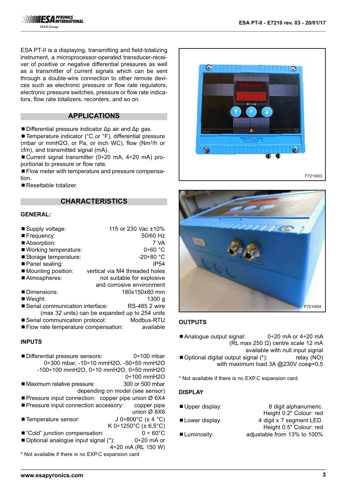ESA PT-II is a displaying, transmitting and field-totalizing instrument, a microprocessor-operated transducer-receiver of positive or negative differential pressures as well as a transmitter of current signals which can be sent through a double-wire connection to other remote devices such as electronic pressure or flow rate regulators, electronic pressure switches, pressure or flow rate indicators, flow rate totalizers, recorders, and so on.

## **APPLICATIONS**

■Differential pressure indicator  $Δp$  air and  $Δp$  gas.

■ Temperature indicator (°C or °F), differential pressure (mbar or mmH2O, or Pa, or inch WC), flow (Nm3/h or cfm), and transmitted signal (mA).

■ Current signal transmitter (0÷20 mA, 4÷20 mA) proportional to pressure or flow rate.

■ Flow meter with temperature and pressure compensation.

■ Resettable totalizer.

## **CHARACTERISTICS**

#### **GENERAL:**

| 115 or 230 Vac ±10%                                       |
|-----------------------------------------------------------|
| 50/60 Hz                                                  |
| 7 VA                                                      |
| $0+60$ °C                                                 |
| $-20+80$ °C                                               |
| IP <sub>54</sub>                                          |
| vertical via M4 threaded holes                            |
| not suitable for explosive                                |
| and corrosive environment                                 |
| 180x150x80 mm                                             |
| 1300 a                                                    |
| ■ Serial communication interface:<br><b>RS-485 2 wire</b> |
| (max 32 units) can be expanded up to 254 units            |
| Serial communication protocol:<br>Modbus-RTU              |
| Flow rate temperature compensation:<br>available          |
|                                                           |

#### **INPUTS**

■ Differential pressure sensors: 0÷100 mbar 0÷300 mbar, -10÷10 mmH2O, -50÷50 mmH2O -100÷100 mmH2O, 0÷10 mmH2O, 0÷50 mmH2O

0÷100 mmH2O ■ Maximum relative pressure: 300 or 500 mbar

depending on model (see sensor)

- Pressure input connection: copper pipe union Ø 6X4
- **Pressure input connection accessory:** copper pipe union Ø 8X6
- Temperature sensor:  $J 0 \div 800^{\circ}C (\pm 4^{\circ}C)$ K 0÷1250°C (± 6,5°C)
- "Cold" junction compensation:  $0 \div 60^{\circ}$ C
- Optional analogue input signal (\*): 0÷20 mA or  $4 + 20$  mA (RL 150 W)
- \* Not available if there is no EXP.C expansion card





## **OUTPUTS**

Analogue output signal:  $0+20$  mA or  $4+20$  mA (RL max 250 Ω) centre scale 12 mA available with null input signal ■ Optional digital output signal (\*): relay (NO) with maximum load 3A @230V cosφ=0,5

\* Not available if there is no EXP.C expansion card.

## **DISPLAY**

■ Upper display: 8 digit alphanumeric. Height 0.2" Colour: red ■ Lower display: 4 digit x 7 segment LED. Height 0.5" Colour: red ■ Luminosity: adjustable from 13% to 100%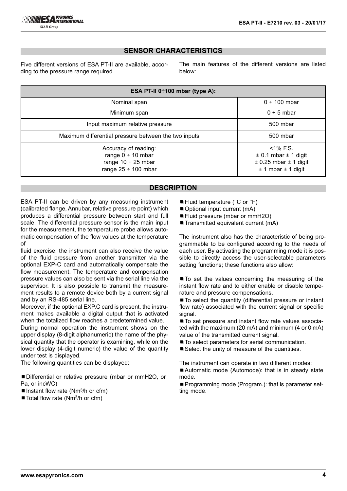# **SENSOR CHARACTERISTICS**

Five different versions of ESA PT-II are available, according to the pressure range required.

The main features of the different versions are listed below:

| ESA PT-II 0÷100 mbar (type A):                                                                        |                                                                                                        |  |  |
|-------------------------------------------------------------------------------------------------------|--------------------------------------------------------------------------------------------------------|--|--|
| Nominal span                                                                                          | $0 \div 100$ mbar                                                                                      |  |  |
| Minimum span                                                                                          | $0 \div 5$ mbar                                                                                        |  |  |
| Input maximum relative pressure                                                                       | 500 mbar                                                                                               |  |  |
| Maximum differential pressure between the two inputs                                                  | 500 mbar                                                                                               |  |  |
| Accuracy of reading:<br>range $0 \div 10$ mbar<br>range $10 \div 25$ mbar<br>range $25 \div 100$ mbar | $<$ 1% F.S.<br>$\pm$ 0.1 mbar $\pm$ 1 digit<br>$\pm$ 0.25 mbar $\pm$ 1 digit<br>$± 1$ mbar $± 1$ digit |  |  |

# **DESCRIPTION**

ESA PT-II can be driven by any measuring instrument (calibrated flange, Annubar, relative pressure point) which produces a differential pressure between start and full scale. The differential pressure sensor is the main input for the measurement, the temperature probe allows automatic compensation of the flow values at the temperature of

fluid exercise; the instrument can also receive the value of the fluid pressure from another transmitter via the optional EXP-C card and automatically compensate the flow measurement. The temperature and compensation pressure values can also be sent via the serial line via the supervisor. It is also possible to transmit the measurement results to a remote device both by a current signal and by an RS-485 serial line.

Moreover, if the optional EXP.C card is present, the instrument makes available a digital output that is activated when the totalized flow reaches a predetermined value.

During normal operation the instrument shows on the upper display (8-digit alphanumeric) the name of the physical quantity that the operator is examining, while on the lower display (4-digit numeric) the value of the quantity under test is displayed.

The following quantities can be displayed:

■ Differential or relative pressure (mbar or mmH2O, or Pa, or incWC)

- Instant flow rate ( $Nm^3/h$  or cfm)
- $\blacksquare$  Total flow rate (Nm<sup>3</sup>/h or cfm)
- Fluid temperature ( $°C$  or  $°F$ )
- Optional input current (mA)
- Fluid pressure (mbar or mmH2O)
- Transmitted equivalent current (mA)

The instrument also has the characteristic of being programmable to be configured according to the needs of each user. By activating the programming mode it is possible to directly access the user-selectable parameters setting functions; these functions also allow:

■ To set the values concerning the measuring of the instant flow rate and to either enable or disable temperature and pressure compensations.

■ To select the quantity (differential pressure or instant flow rate) associated with the current signal or specific signal.

■ To set pressure and instant flow rate values associated with the maximum (20 mA) and minimum (4 or 0 mA) value of the transmitted current signal.

- To select parameters for serial communication.
- Select the unity of measure of the quantities.

The instrument can operate in two different modes: ■Automatic mode (Automode): that is in steady state mode.

■ Programming mode (Program.): that is parameter setting mode.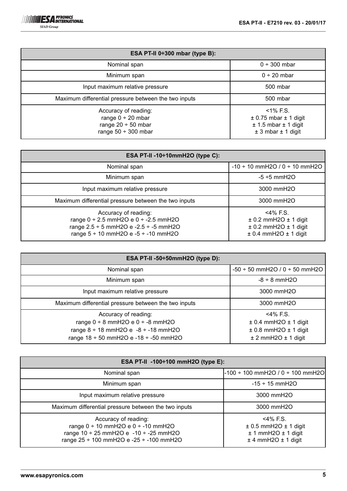| ESA PT-II $0\div 300$ mbar (type B):                                                                  |                                                                                                    |  |  |
|-------------------------------------------------------------------------------------------------------|----------------------------------------------------------------------------------------------------|--|--|
| Nominal span                                                                                          | $0 ÷ 300$ mbar                                                                                     |  |  |
| Minimum span                                                                                          | $0 \div 20$ mbar                                                                                   |  |  |
| Input maximum relative pressure                                                                       | 500 mbar                                                                                           |  |  |
| Maximum differential pressure between the two inputs                                                  | 500 mbar                                                                                           |  |  |
| Accuracy of reading:<br>range $0 \div 20$ mbar<br>range $20 \div 50$ mbar<br>range $50 \div 300$ mbar | $<$ 1% F.S.<br>$\pm$ 0.75 mbar $\pm$ 1 digit<br>$± 1.5$ mbar $± 1$ digit<br>$± 3$ mbar $± 1$ digit |  |  |

| ESA PT-II -10 $\div$ 10mmH2O (type C):                                                                                                                                      |                                                                                                             |  |  |
|-----------------------------------------------------------------------------------------------------------------------------------------------------------------------------|-------------------------------------------------------------------------------------------------------------|--|--|
| Nominal span                                                                                                                                                                | $-10 \div 10$ mmH2O / 0 $\div$ 10 mmH2O                                                                     |  |  |
| Minimum span                                                                                                                                                                | $-5 + 5$ mmH2O                                                                                              |  |  |
| Input maximum relative pressure                                                                                                                                             | 3000 mmH2O                                                                                                  |  |  |
| Maximum differential pressure between the two inputs                                                                                                                        | 3000 mmH2O                                                                                                  |  |  |
| Accuracy of reading:<br>range $0 \div 2.5$ mmH2O e $0 \div -2.5$ mmH2O<br>range $2.5 \div 5$ mmH2O e -2.5 $\div$ -5 mmH2O<br>range $5 \div 10$ mmH2O e - $5 \div -10$ mmH2O | <4% F.S.<br>$\pm$ 0.2 mmH2O $\pm$ 1 digit<br>$\pm$ 0.2 mmH2O $\pm$ 1 digit<br>$\pm$ 0.4 mmH2O $\pm$ 1 digit |  |  |

| ESA PT-II -50÷50mmH2O (type D):                      |                                         |  |  |
|------------------------------------------------------|-----------------------------------------|--|--|
| Nominal span                                         | $-50 \div 50$ mmH2O / 0 $\div 50$ mmH2O |  |  |
| Minimum span                                         | $-8 \div 8$ mmH2O                       |  |  |
| Input maximum relative pressure                      | 3000 mmH2O                              |  |  |
| Maximum differential pressure between the two inputs | 3000 mmH2O                              |  |  |
| Accuracy of reading:                                 | <4% F.S.                                |  |  |
| range $0 \div 8$ mmH2O e $0 \div -8$ mmH2O           | $\pm$ 0.4 mmH2O $\pm$ 1 digit           |  |  |
| range $8 \div 18$ mmH2O e $-8 \div -18$ mmH2O        | $\pm$ 0.8 mmH2O $\pm$ 1 digit           |  |  |
| range $18 \div 50$ mmH2O e -18 $\div$ -50 mmH2O      | $± 2$ mmH2O $± 1$ digit                 |  |  |

| ESA PT-II -100÷100 mmH2O (type E):                                                                                                                       |                                                                                                    |  |  |
|----------------------------------------------------------------------------------------------------------------------------------------------------------|----------------------------------------------------------------------------------------------------|--|--|
| Nominal span                                                                                                                                             | -100 ÷ 100 mmH2O / 0 ÷ 100 mmH2O                                                                   |  |  |
| Minimum span                                                                                                                                             | $-15 \div 15$ mmH2O                                                                                |  |  |
| Input maximum relative pressure                                                                                                                          | 3000 mmH2O                                                                                         |  |  |
| Maximum differential pressure between the two inputs                                                                                                     | 3000 mmH2O                                                                                         |  |  |
| Accuracy of reading:<br>range 0 ÷ 10 mmH2O e 0 ÷ -10 mmH2O<br>range $10 \div 25$ mmH2O e -10 $\div$ -25 mmH2O<br>range 25 ÷ 100 mmH2O e -25 ÷ -100 mmH2O | $<$ 4% F.S.<br>$\pm$ 0.5 mmH2O $\pm$ 1 digit<br>$± 1$ mmH2O $± 1$ digit<br>$±$ 4 mmH2O $±$ 1 digit |  |  |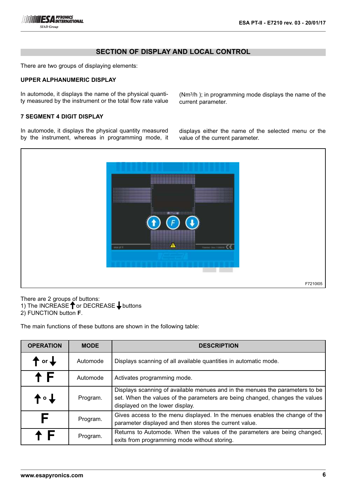# **SECTION OF DISPLAY AND LOCAL CONTROL**

There are two groups of displaying elements:

### **UPPER ALPHANUMERIC DISPLAY**

In automode, it displays the name of the physical quantity measured by the instrument or the total flow rate value (Nm3/h ); in programming mode displays the name of the current parameter.

## **7 SEGMENT 4 DIGIT DISPLAY**

In automode, it displays the physical quantity measured by the instrument, whereas in programming mode, it displays either the name of the selected menu or the value of the current parameter.



There are 2 groups of buttons: 1) The INCREASE  $\uparrow$  or DECREASE  $\downarrow$  buttons 2) FUNCTION button **F**.

The main functions of these buttons are shown in the following table:

| <b>OPERATION</b>           | <b>MODE</b> | <b>DESCRIPTION</b>                                                                                                                                                                              |
|----------------------------|-------------|-------------------------------------------------------------------------------------------------------------------------------------------------------------------------------------------------|
| $\uparrow$ or $\downarrow$ | Automode    | Displays scanning of all available quantities in automatic mode.                                                                                                                                |
| † F                        | Automode    | Activates programming mode.                                                                                                                                                                     |
| ↑∘↑                        | Program.    | Displays scanning of available menues and in the menues the parameters to be<br>set. When the values of the parameters are being changed, changes the values<br>displayed on the lower display. |
| F                          | Program.    | Gives access to the menu displayed. In the menues enables the change of the<br>parameter displayed and then stores the current value.                                                           |
|                            | Program.    | Returns to Automode. When the values of the parameters are being changed,<br>exits from programming mode without storing.                                                                       |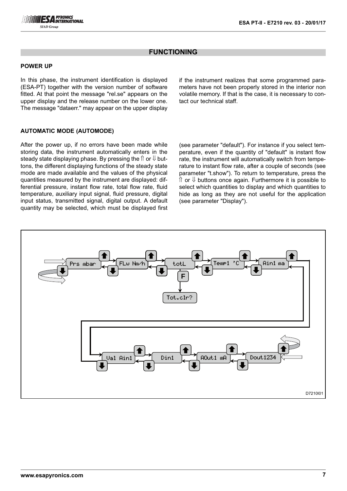# **FUNCTIONING**

### **POWER UP**

In this phase, the instrument identification is displayed (ESA-PT) together with the version number of software fitted. At that point the message "rel.se" appears on the upper display and the release number on the lower one. The message "dataerr." may appear on the upper display

if the instrument realizes that some programmed parameters have not been properly stored in the interior non volatile memory. If that is the case, it is necessary to contact our technical staff.

## **AUTOMATIC MODE (AUTOMODE)**

After the power up, if no errors have been made while storing data, the instrument automatically enters in the steady state displaying phase. By pressing the  $\Uparrow$  or  $\Downarrow$  buttons, the different displaying functions of the steady state mode are made available and the values of the physical quantities measured by the instrument are displayed: differential pressure, instant flow rate, total flow rate, fluid temperature, auxiliary input signal, fluid pressure, digital input status, transmitted signal, digital output. A default quantity may be selected, which must be displayed first

(see parameter "default"). For instance if you select temperature, even if the quantity of "default" is instant flow rate, the instrument will automatically switch from temperature to instant flow rate, after a couple of seconds (see parameter "t.show"). To return to temperature, press the  $\hat{\parallel}$  or  $\hat{\Downarrow}$  buttons once again. Furthermore it is possible to select which quantities to display and which quantities to hide as long as they are not useful for the application (see parameter "Display").

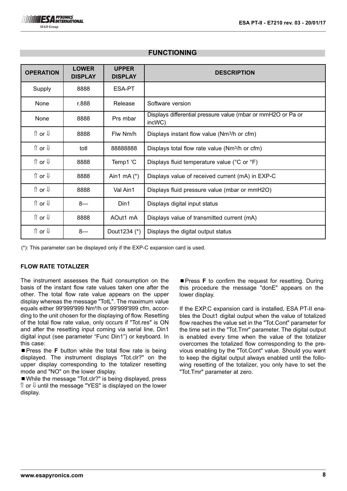| <b>OPERATION</b>           | <b>LOWER</b><br><b>DISPLAY</b> | <b>UPPER</b><br><b>DISPLAY</b> | <b>DESCRIPTION</b>                                                     |  |
|----------------------------|--------------------------------|--------------------------------|------------------------------------------------------------------------|--|
| Supply                     | 8888                           | ESA-PT                         |                                                                        |  |
| None                       | r.888                          | Release                        | Software version                                                       |  |
| None                       | 8888                           | Prs mbar                       | Displays differential pressure value (mbar or mmH2O or Pa or<br>incWC) |  |
| ↑ or ↓                     | 8888                           | Flw Nm/h                       | Displays instant flow value (Nm <sup>3</sup> /h or cfm)                |  |
| $\Uparrow$ or $\Downarrow$ | totl                           | 88888888                       | Displays total flow rate value (Nm <sup>3</sup> /h or cfm)             |  |
| ↑ or ↓                     | 8888                           | Temp1 'C                       | Displays fluid temperature value (°C or °F)                            |  |
| ↑ or ↓                     | 8888                           | Ain1 mA $(*)$                  | Displays value of received current (mA) in EXP-C                       |  |
| $\Uparrow$ or $\Downarrow$ | 8888                           | Val Ain1                       | Displays fluid pressure value (mbar or mmH2O)                          |  |
| $\Uparrow$ or $\Downarrow$ | $8--$                          | Din1                           | Displays digital input status                                          |  |
| $\Uparrow$ or $\Downarrow$ | 8888                           | AOut1 mA                       | Displays value of transmitted current (mA)                             |  |
| ↑ or ↓                     | $8--$                          | Dout1234 (*)                   | Displays the digital output status                                     |  |

# **FUNCTIONING**

(\*): This parameter can be displayed only if the EXP-C expansion card is used.

## **FLOW RATE TOTALIZER**

The instrument assesses the fluid consumption on the basis of the instant flow rate values taken one after the other. The total flow rate value appears on the upper display whereas the message "TotL". The maximum value equals either 99'999'999 Nm³/h or 99'999'999 cfm, according to the unit chosen for the displaying of flow. Resetting of the total flow rate value, only occurs if "Tot.res" is ON and after the resetting input coming via serial line, Din1 digital input (see parameter "Func Din1") or keyboard. In this case:

■ Press the **F** button while the total flow rate is being displayed. The instrument displays "Tot.clr?" on the upper display corresponding to the totalizer resetting mode and "NO" on the lower display.

■ While the message "Tot.clr?" is being displayed, press ⇑ or ⇓ until the message "YES" is displayed on the lower display.

■ Press **F** to confirm the request for resetting. During this procedure the message "donE" appears on the lower display.

If the EXP.C expansion card is installed, ESA PT-II enables the Dout1 digital output when the value of totalized flow reaches the value set in the "Tot.Cont" parameter for the time set in the "Tot.Tmr" parameter. The digital output is enabled every time when the value of the totalizer overcomes the totalized flow corresponding to the previous enabling by the "Tot.Cont" value. Should you want to keep the digital output always enabled until the following resetting of the totalizer, you only have to set the "Tot.Tmr" parameter at zero.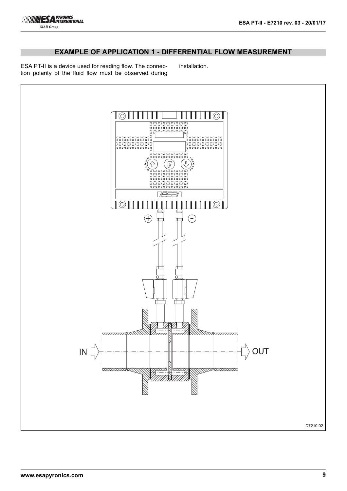# **EXAMPLE OF APPLICATION 1 - DIFFERENTIAL FLOW MEASUREMENT**

ESA PT-II is a device used for reading flow. The connection polarity of the fluid flow must be observed during installation.

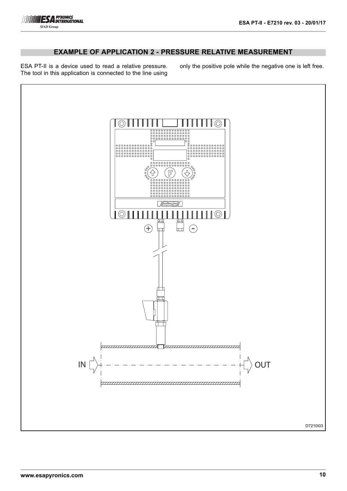# **EXAMPLE OF APPLICATION 2 - PRESSURE RELATIVE MEASUREMENT**

ESA PT-II is a device used to read a relative pressure. The tool in this application is connected to the line using only the positive pole while the negative one is left free.

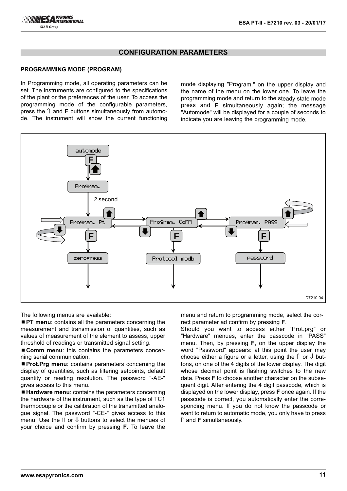

### **PROGRAMMING MODE (PROGRAM)**

In Programming mode, all operating parameters can be set. The instruments are configured to the specifications of the plant or the preferences of the user. To access the programming mode of the configurable parameters, press the  $\hat{\parallel}$  and **F** buttons simultaneously from automode. The instrument will show the current functioning

mode displaying "Program." on the upper display and the name of the menu on the lower one. To leave the programming mode and return to the steady state mode press and **F** simultaneously again; the message "Automode" will be displayed for a couple of seconds to indicate you are leaving the programming mode.



The following menus are available:

■ **PT menu**: contains all the parameters concerning the measurement and transmission of quantities, such as values of measurement of the element to assess, upper threshold of readings or transmitted signal setting.

■ **Comm menu**: this contains the parameters concerning serial communication.

**Prot.Prg menu:** contains parameters concerning the display of quantities, such as filtering setpoints, default quantity or reading resolution. The password "-AE-" gives access to this menu.

■ **Hardware menu**: contains the parameters concerning the hardware of the instrument, such as the type of TC1 thermocouple or the calibration of the transmitted analogue signal. The password "-CE-" gives access to this menu. Use the  $\hat{\parallel}$  or  $\hat{\Downarrow}$  buttons to select the menues of your choice and confirm by pressing **F**. To leave the

menu and return to programming mode, select the correct parameter ad confirm by pressing **F**.

Should you want to access either "Prot.prg" or "Hardware" menues, enter the passcode in "PASS" menu. Then, by pressing **F**, on the upper display the word "Password" appears: at this point the user may choose either a figure or a letter, using the  $\hat{\parallel}$  or  $\hat{\Downarrow}$  buttons, on one of the 4 digits of the lower display. The digit whose decimal point is flashing switches to the new data. Press **F** to choose another character on the subsequent digit. After entering the 4 digit passcode, which is displayed on the lower display, press **F** once again. If the passcode is correct, you automatically enter the corresponding menu. If you do not know the passcode or want to return to automatic mode, you only have to press ⇑ and **F** simultaneously.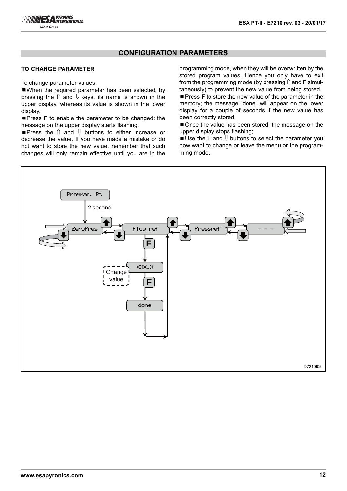## **TO CHANGE PARAMETER**

To change parameter values:

■When the required parameter has been selected, by pressing the  $\uparrow$  and  $\downarrow$  keys, its name is shown in the upper display, whereas its value is shown in the lower display.

**Press F** to enable the parameter to be changed: the message on the upper display starts flashing.

■ Press the î and  $\Downarrow$  buttons to either increase or decrease the value. If you have made a mistake or do not want to store the new value, remember that such changes will only remain effective until you are in the programming mode, when they will be overwritten by the stored program values. Hence you only have to exit from the programming mode (by pressing  $\hat{\parallel}$  and **F** simultaneously) to prevent the new value from being stored.

**Press F** to store the new value of the parameter in the memory; the message "done" will appear on the lower display for a couple of seconds if the new value has been correctly stored.

■ Once the value has been stored, the message on the upper display stops flashing;

Use the  $\hat{\parallel}$  and  $\hat{\Downarrow}$  buttons to select the parameter you now want to change or leave the menu or the programming mode.

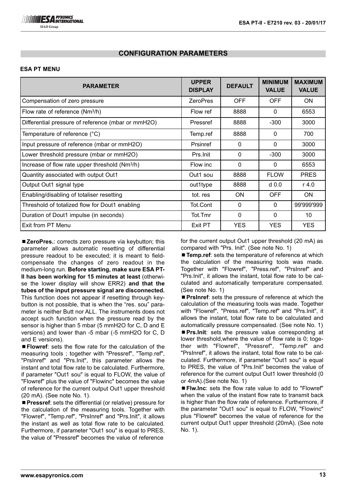## **ESA PT MENU**

| <b>PARAMETER</b>                                           | <b>UPPER</b><br><b>DISPLAY</b> | <b>DEFAULT</b> | <b>MINIMUM</b><br><b>VALUE</b> | <b>MAXIMUM</b><br><b>VALUE</b> |
|------------------------------------------------------------|--------------------------------|----------------|--------------------------------|--------------------------------|
| Compensation of zero pressure                              | <b>ZeroPres</b>                | <b>OFF</b>     | <b>OFF</b>                     | <b>ON</b>                      |
| Flow rate of reference (Nm <sup>3</sup> /h)                | Flow ref                       | 8888           | $\Omega$                       | 6553                           |
| Differential pressure of reference (mbar or mmH2O)         | Pressref                       | 8888           | $-300$                         | 3000                           |
| Temperature of reference (°C)                              | Temp.ref                       | 8888           | $\Omega$                       | 700                            |
| Input pressure of reference (mbar or mmH2O)                | Prsinref                       | 0              | $\Omega$                       | 3000                           |
| Lower threshold pressure (mbar or mmH2O)                   | Prs. Init                      | $\mathbf{0}$   | $-300$                         | 3000                           |
| Increase of flow rate upper threshold (Nm <sup>3</sup> /h) | Flow inc                       | $\mathbf{0}$   | $\Omega$                       | 6553                           |
| Quantity associated with output Out1                       | Out1 sou                       | 8888           | <b>FLOW</b>                    | <b>PRES</b>                    |
| Output Out1 signal type                                    | out1type                       | 8888           | d <sub>0.0</sub>               | $r$ 4.0                        |
| Enabling/disabling of totaliser resetting                  | tot. res                       | ON.            | <b>OFF</b>                     | <b>ON</b>                      |
| Threshold of totalized flow for Dout1 enabling             | Tot.Cont                       | $\Omega$       | $\Omega$                       | 99'999'999                     |
| Duration of Dout1 impulse (in seconds)                     | Tot.Tmr                        | $\Omega$       | $\Omega$                       | 10                             |
| Exit from PT Menu                                          | Exit PT                        | <b>YES</b>     | <b>YES</b>                     | <b>YES</b>                     |

■ ZeroPres.: corrects zero pressure via keybutton; this parameter allows automatic resetting of differential pressure readout to be executed; it is meant to fieldcompensate the changes of zero readout in the medium-long run. **Before starting, make sure ESA PT-II has been working for 15 minutes at least** (otherwise the lower display will show ERR2) **and that the tubes of the input pressure signal are disconnected.** This function does not appear if resetting through keybutton is not possible, that is when the "res. sou" parameter is neither Butt nor ALL. The instruments does not accept such function when the pressure read by the sensor is higher than 5 mbar (5 mmH2O for C, D and E versions) and lower than -5 mbar (-5 mmH2O for C, D and E versions).

■ Flowref: sets the flow rate for the calculation of the measuring tools ; together with "Pressref", "Temp.ref", "PrsInref" and "Prs.Init", this parameter allows the instant and total flow rate to be calculated. Furthermore, if parameter "Out1 sou" is equal to FLOW, the value of "Flowref" plus the value of "Flowinc" becomes the value of reference for the current output Out1 upper threshold (20 mA). (See note No. 1).

■ Pressref: sets the differential (or relative) pressure for the calculation of the measuring tools. Together with "Flowref", "Temp.ref", "PrsInref" and "Prs.Init", it allows the instant as well as total flow rate to be calculated. Furthermore, if parameter "Out1 sou" is equal to PRES, the value of "Pressref" becomes the value of reference

for the current output Out1 upper threshold (20 mA) as compared with "Prs. Init". (See note No. 1)

■ **Temp.ref**: sets the temperature of reference at which the calculation of the measuring tools was made. Together with "Flowref", "Press.ref", "PrsInref" and "Prs.Init", it allows the instant, total flow rate to be calculated and automatically temperature compensated. (See note No. 1)

**Prsinref**: sets the pressure of reference at which the calculation of the measuring tools was made. Together with "Flowref", "Press.ref", "Temp.ref" and "Prs.Init", it allows the instant, total flow rate to be calculated and automatically pressure compensated. (See note No. 1) **Prs.init:** sets the pressure value corresponding at lower threshold,where the value of flow rate is 0; together with "Flowref", "Pressref", "Temp.ref" and "PrsInref", it allows the instant, total flow rate to be calculated. Furthermore, if parameter "Out1 sou" is equal to PRES, the value of "Prs.Init" becomes the value of reference for the current output Out1 lower threshold (0 or 4mA).(See note No. 1)

■ Flw.Inc: sets the flow rate value to add to "Flowref" when the value of the instant flow rate to transmit back is higher than the flow rate of reference. Furthermore, if the parameter "Out1 sou" is equal to FLOW, "Flowinc" plus "Flowref" becomes the value of reference for the current output Out1 upper threshold (20mA). (See note No. 1).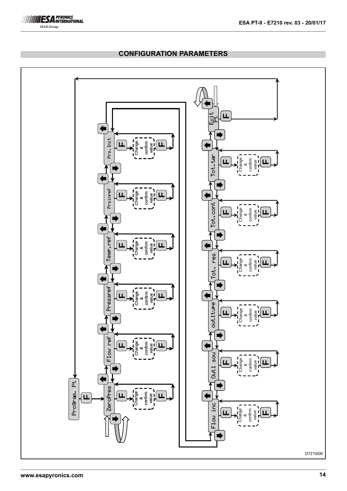

Flow inc  $\frac{1}{\sqrt{2}}$  Out 1 sou $\frac{1}{\sqrt{2}}$  out ture  $\frac{1}{\sqrt{2}}$  Tot.  $\frac{1}{\sqrt{2}}$  Tot. cont  $\frac{1}{\sqrt{2}}$  Tot. ter  $\frac{1}{\sqrt{2}}$   $\frac{1}{\sqrt{2}}$ **F**Prs. Init  $Z$ eroPres  $\overline{\chi}$  Flow ref  $\overline{\chi}$   $\overline{\zeta}$  Pressref  $\overline{\chi}$  Temp.ref  $\overline{\chi}$   $\overline{\zeta}$  Prsinref  $\overline{\chi}$  Prs.Init Change confirm **FF**value &Tot.tm Tot. res  $\sqrt{\frac{1}{2}}$  Tot.cont  $\sqrt{\frac{1}{2}}$  Tot.tmr Change confirm **FF**value &Prsinref Change confirm **FF**value &Tot.cont Change confirm **F**value **F**&eme.ref Change confirm **F**value **F**&စ္စီ Change confirm **F**value **F**&ن<br>ف Pressref Change confirm **F**value **F**&outitiee Change confirm  $\mathbf{Q}$ **FF**&Flow ref Change confirm **FF**او<br>ا &Out1 sou Change confirm **F**value **F**&**EXAMPLE 2006**<br> **EXAMPLE 2006**<br> **EXAMPLE 2006**<br>
<br> **EXAMPLE 2006**<br>
<br> **EXAMPLE 2006**<br>
<br> **EXAMPLE 2006**<br>
<br>
PHONE 2006<br>
<br>
PHONE 2006<br>
<br>
PHONE 2006<br>
<br>
PHONE 2006<br>
<br>
PHONE 2007<br>
<br>
PHONE 2007<br>
<br>
PHONE 2007<br>
<br>
PHONE 2007<br>
<br>
PHONE Change confirm **F**value **FF**&E Change value **FF**&D7210I06

# **CONFIGURATION PARAMETERS**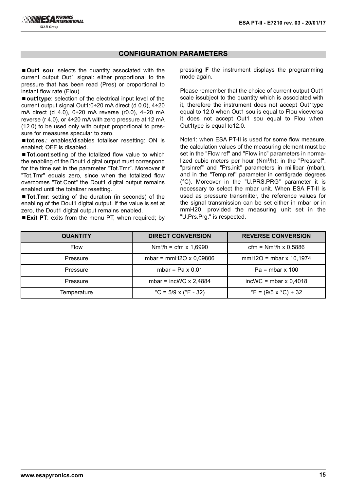■ Out1 sou: selects the quantity associated with the current output Out1 signal: either proportional to the pressure that has been read (Pres) or proportional to instant flow rate (Flou).

■ **out1type**: selection of the electrical input level of the current output signal Out1:0÷20 mA direct (d 0.0), 4÷20 mA direct (d 4.0), 0÷20 mA reverse (r0.0), 4÷20 mA reverse (r 4.0), or 4÷20 mA with zero pressure at 12 mA (12.0) to be used only with output proportional to pressure for measures specular to zero.

■ tot.res.: enables/disables totaliser resetting: ON is enabled; OFF is disabled.

■ Tot.cont:setting of the totalized flow value to which the enabling of the Dout1 digital output must correspond for the time set in the parameter "Tot.Tmr". Moreover if "Tot.Tmr" equals zero, since when the totalized flow overcomes "Tot.Cont" the Dout1 digital output remains enabled until the totalizer resetting.

■ **Tot.Tmr**: setting of the duration (in seconds) of the enabling of the Dout1 digital output. If the value is set at zero, the Dout1 digital output remains enabled.

■ **Exit PT**: exits from the menu PT, when required; by

pressing **F** the instrument displays the programming mode again.

Please remember that the choice of current output Out1 scale issubject to the quantity which is associated with it, therefore the instrument does not accept Out1type equal to 12.0 when Out1 sou is equal to Flou viceversa it does not accept Out1 sou equal to Flou when Out1type is equal to12.0.

Note1: when ESA PT-II is used for some flow measure, the calculation values of the measuring element must be set in the "Flow ref" and "Flow inc" parameters in normalized cubic meters per hour  $(Nm<sup>3</sup>/h)$ ; in the "Pressref", "prsinref" and "Prs.init" parameters in millibar (mbar), and in the "Temp.ref" parameter in centigrade degrees (°C). Moreover in the "U.PRS.PRG" parameter it is necessary to select the mbar unit. When ESA PT-II is used as pressure transmitter, the reference values for the signal transmission can be set either in mbar or in mmH20, provided the measuring unit set in the "U.Prs.Prg." is respected.

| <b>QUANTITY</b> | <b>DIRECT CONVERSION</b>                  | <b>REVERSE CONVERSION</b>              |  |
|-----------------|-------------------------------------------|----------------------------------------|--|
| <b>Flow</b>     | $Nm^{3}/h = cfm \times 1,6990$            | cfm = $Nm^{3}/h \times 0,5886$         |  |
| Pressure        | mbar = $mmH2O \times 0,09806$             | $mmH2O = mbar \times 10,1974$          |  |
| Pressure        | mbar = $Pa \times 0.01$                   | $Pa = mbar \times 100$                 |  |
| Pressure        | mbar = incWC $\times$ 2,4884              | $incWC = mbar \times 0,4018$           |  |
| Temperature     | $^{\circ}$ C = 5/9 x ( $^{\circ}$ F - 32) | $\degree$ F = (9/5 x $\degree$ C) + 32 |  |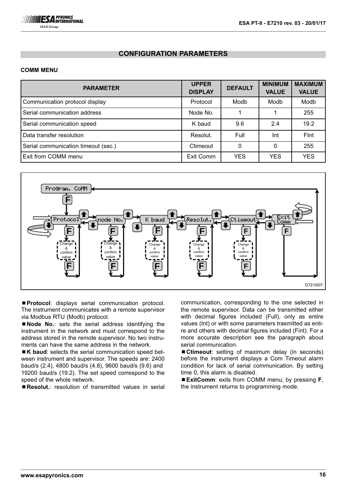

#### **COMM MENU**

| <b>PARAMETER</b>                    | <b>UPPER</b><br><b>DISPLAY</b> | <b>DEFAULT</b> | <b>MINIMUM</b><br><b>VALUE</b> | <b>MAXIMUM</b><br><b>VALUE</b> |
|-------------------------------------|--------------------------------|----------------|--------------------------------|--------------------------------|
| Communication protocol display      | Protocol                       | Modb           | Modb                           | Modb                           |
| Serial communication address        | Node No.                       |                |                                | 255                            |
| Serial communication speed          | K baud                         | 9.6            | 2.4                            | 19.2                           |
| Data transfer resolution            | Resolut.                       | Full           | Int                            | Fint                           |
| Serial communication timeout (sec.) | Ctimeout                       | $\Omega$       | $\Omega$                       | 255                            |
| Exit from COMM menu                 | Exit Comm                      | <b>YES</b>     | <b>YES</b>                     | <b>YES</b>                     |



¾**Protocol**: displays serial communication protocol. The instrument communicates with a remote supervisor via Modbus RTU (Modb) protocol.

■ Node No.: sets the serial address identifying the instrument in the network and must correspond to the address stored in the remote supervisor. No two instruments can have the same address in the network.

■ K baud: selects the serial communication speed between instrument and supervisor. The speeds are: 2400 baud/s (2.4), 4800 baud/s (4.8), 9600 baud/s (9.6) and 19200 baud/s (19.2). The set speed correspond to the speed of the whole network.

■ Resolut.: resolution of transmitted values in serial

communication, corresponding to the one selected in the remote supervisor. Data can be transmitted either with decimal figures included (Full), only as entire values (Int) or with some parameters trasmitted as entire and others with decimal figures included (Fint). For a more accurate description see the paragraph about serial communication.

■ Ctimeout: setting of maximum delay (in seconds) before the instrument displays a Com Timeout alarm condition for lack of serial communication. By setting time 0, this alarm is disabled.

¾**ExitComm**: exits from COMM menu; by pressing **F**, the instrument returns to programming mode.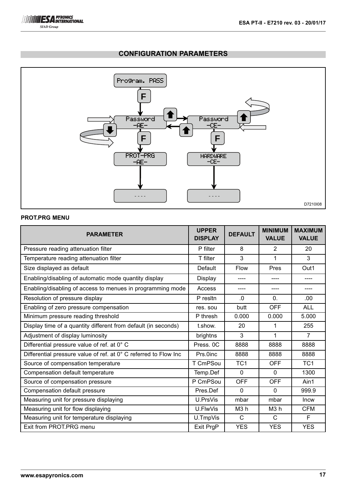

### **PROT.PRG MENU**

| <b>PARAMETER</b>                                                 | <b>UPPER</b><br><b>DISPLAY</b> | <b>DEFAULT</b>  | <b>MINIMUM</b><br><b>VALUE</b> | <b>MAXIMUM</b><br><b>VALUE</b> |
|------------------------------------------------------------------|--------------------------------|-----------------|--------------------------------|--------------------------------|
| Pressure reading attenuation filter                              | P filter                       | 8               | $\overline{2}$                 | 20                             |
| Temperature reading attenuation filter                           | T filter                       | 3               | 1                              | 3                              |
| Size displayed as default                                        | Default                        | Flow            | Pres                           | Out1                           |
| Enabling/disabling of automatic mode quantity display            | Display                        | ----            |                                |                                |
| Enabling/disabling of access to menues in programming mode       | Access                         | ----            | ----                           | ----                           |
| Resolution of pressure display                                   | P resitn                       | $\Omega$        | $\Omega$ .                     | .00                            |
| Enabling of zero pressure compensation                           | res. sou                       | butt            | <b>OFF</b>                     | <b>ALL</b>                     |
| Minimum pressure reading threshold                               | P thresh                       | 0.000           | 0.000                          | 5.000                          |
| Display time of a quantity different from default (in seconds)   | t.show.                        | 20              | 1                              | 255                            |
| Adjustment of display luminosity                                 | brightns                       | 3               | 1                              | $\overline{7}$                 |
| Differential pressure value of ref. at 0° C                      | Press, 0C                      | 8888            | 8888                           | 8888                           |
| Differential pressure value of ref. at 0° C referred to Flow Inc | Prs.0inc                       | 8888            | 8888                           | 8888                           |
| Source of compensation temperature                               | T CmPSou                       | TC <sub>1</sub> | <b>OFF</b>                     | TC <sub>1</sub>                |
| Compensation default temperature                                 | Temp.Def                       | $\mathbf{0}$    | $\Omega$                       | 1300                           |
| Source of compensation pressure                                  | P CmPSou                       | <b>OFF</b>      | <b>OFF</b>                     | Ain1                           |
| Compensation default pressure                                    | Pres.Def                       | $\mathbf 0$     | $\mathbf 0$                    | 999.9                          |
| Measuring unit for pressure displaying                           | U.PrsVis                       | mbar            | mbar                           | Incw                           |
| Measuring unit for flow displaying                               | U.FlwVis                       | M3h             | M <sub>3</sub> h               | <b>CFM</b>                     |
| Measuring unit for temperature displaying                        | U.TmpVis                       | C               | $\mathcal{C}$                  | F                              |
| Exit from PROT.PRG menu                                          | Exit PrgP                      | <b>YES</b>      | <b>YES</b>                     | <b>YES</b>                     |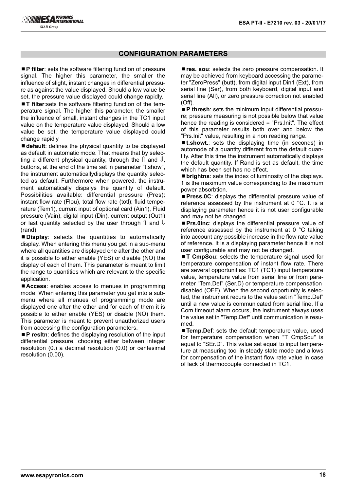■ **P filter**: sets the software filtering function of pressure signal. The higher this parameter, the smaller the influence of slight, instant changes in differential pressure as against the value displayed. Should a low value be set, the pressure value displayed could change rapidly.

■ **T filter**:sets the software filtering function of the temperature signal. The higher this parameter, the smaller the influence of small, instant changes in the TC1 input value on the temperature value displayed. Should a low value be set, the temperature value displayed could change rapidly

■ **default**: defines the physical quantity to be displayed as default in automatic mode. That means that by selecting a different physical quantity, through the  $\hat{\parallel}$  and  $\hat{\Downarrow}$ , buttons, at the end of the time set in parameter "t.show", the instrument automaticallydisplays the quantity selected as default. Furthermore when powered, the instrument automatically dispalys the quantity of default. Possibilities available: differential pressure (Pres); instant flow rate (Flou), total flow rate (totl); fluid temperature (Tem1), current input of optional card (Ain1), Fluid pressure (Vain), digital input (Din), current output (Out1) or last quantity selected by the user through  $\hat{\parallel}$  and  $\hat{\parallel}$ (rand).

¾**Display**: selects the quantities to automatically display. When entering this menu you get in a sub-menu where all quantities are displayed one after the other and it is possible to either enable (YES) or disable (NO) the display of each of them. This parameter is meant to limit the range to quantities which are relevant to the specific application.

■ Access: enables access to menues in programming mode. When entering this parameter you get into a submenu where all menues of programming mode are displayed one after the other and for each of them it is possible to either enable (YES) or disable (NO) them. This parameter is meant to prevent unauthorized users from accessing the configuration parameters.

■ P resltn: defines the displaying resolution of the input differential pressure, choosing either between integer resolution (0.) a decimal resolution (0.0) or centesimal resolution (0.00).

■ res. sou: selects the zero pressure compensation. It may be achieved from keyboard accessing the parameter "ZeroPress" (butt), from digital input Din1 (Ext), from serial line (Ser), from both keyboard, digital input and serial line (All), or zero pressure correction not enabled (Off).

■ **P thresh**: sets the minimum input differential pressure; pressure measuring is not possible below that value hence the reading is considered = "Prs.Init". The effect of this parameter results both over and below the "Prs.Init" value, resulting in a non reading range.

■**t.showt.**: sets the displaying time (in seconds) in automode of a quantity different from the default quantity. After this time the instrument automatically displays the default quantity. If Rand is set as default, the time which has been set has no effect.

■ **brightns**: sets the index of luminosity of the displays. 1 is the maximum value corresponding to the maximum power absorbtion.

**Press.0C:** displays the differential pressure value of reference assessed by the instrument at 0 °C. It is a displaying parameter hence it is not user configurable and may not be changed.

■ Prs.0inc: displays the differential pressure value of reference assessed by the instrument at 0 °C taking into account any possible increase in the flow rate value of reference. It is a displaying parameter hence it is not user configurable and may not be changed.

■ **T CmpSou**: selects the temperature signal used for temperature compensation of instant flow rate. There are several opportunities: TC1 (TC1) input temperature value, temperature value from serial line or from parameter "Tem.Def" (Ser.D) or temperature compensation disabled (OFF). When the second opportunity is selected, the instrument recurs to the value set in "Temp.Def" until a new value is communicated from serial line. If a Com timeout alarm occurs, the instrument always uses the value set in "Temp.Def" until communication is resumed.

■ **Temp.Def**: sets the default temperature value, used for temperature compensation when "T CmpSou" is equal to "SEr.D". This value set equal to input temperature at measuring tool in steady state mode and allows for compensation of the instant flow rate value in case of lack of thermocouple connected in TC1.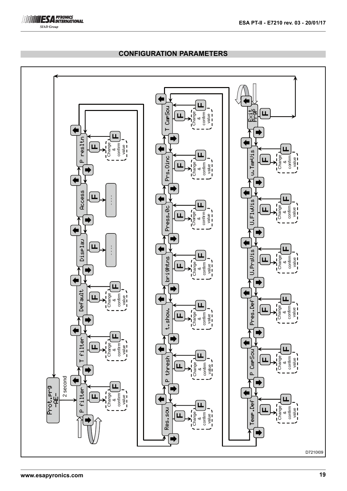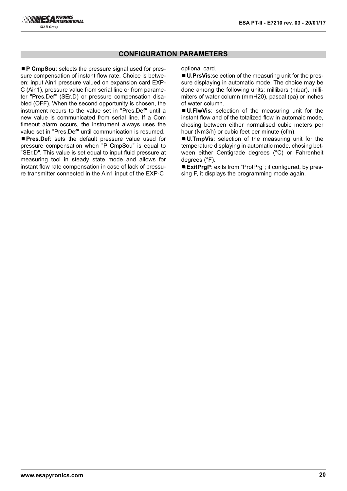■ **P CmpSou**: selects the pressure signal used for pressure compensation of instant flow rate. Choice is between: input Ain1 pressure valued on expansion card EXP-C (Ain1), pressure value from serial line or from parameter "Pres.Def" (SEr.D) or pressure compensation disabled (OFF). When the second opportunity is chosen, the instrument recurs to the value set in "Pres.Def" until a new value is communicated from serial line. If a Com timeout alarm occurs, the instrument always uses the value set in "Pres.Def" until communication is resumed. ¾**Pres.Def**: sets the default pressure value used for pressure compensation when "P CmpSou" is equal to "SEr.D". This value is set equal to input fluid pressure at measuring tool in steady state mode and allows for instant flow rate compensation in case of lack of pressure transmitter connected in the Ain1 input of the EXP-C

optional card.

■ **U.PrsVis**:selection of the measuring unit for the pressure displaying in automatic mode. The choice may be done among the following units: millibars (mbar), millimiters of water column (mmH20), pascal (pa) or inches of water column.

¾**U.FlwVis**: selection of the measuring unit for the instant flow and of the totalized flow in automaic mode, chosing between either normalised cubic meters per hour (Nm3/h) or cubic feet per minute (cfm).

¾**U.TmpVis**: selection of the measuring unit for the temperature displaying in automatic mode, chosing between either Centigrade degrees (°C) or Fahrenheit degrees (°F).

■ **ExitPraP**: exits from "ProtPra": if configured, by pressing F, it displays the programming mode again.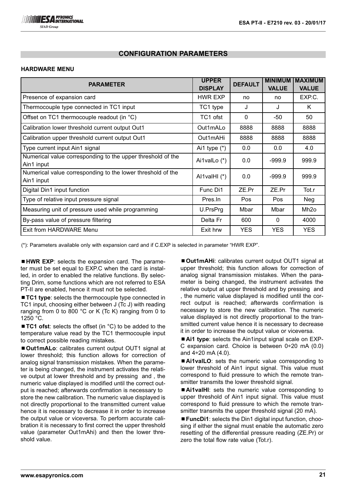### **HARDWARE MENU**

| <b>PARAMETER</b>                                                          | <b>UPPER</b><br><b>DISPLAY</b> | <b>DEFAULT</b> | <b>MINIMUM</b><br><b>VALUE</b> | <b>IMAXIMUM</b><br><b>VALUE</b> |
|---------------------------------------------------------------------------|--------------------------------|----------------|--------------------------------|---------------------------------|
| Presence of expansion card                                                | HWR EXP                        | no             | no                             | EXP.C.                          |
| Thermocouple type connected in TC1 input                                  | TC1 type                       | J              | J                              | K                               |
| Offset on TC1 thermocouple readout (in °C)                                | TC1 ofst                       | $\Omega$       | -50                            | 50                              |
| Calibration lower threshold current output Out1                           | Out1mALo                       | 8888           | 8888                           | 8888                            |
| Calibration upper threshold current output Out1                           | Out1mAHi                       | 8888           | 8888                           | 8888                            |
| Type current input Ain1 signal                                            | Ai1 type $(*)$                 | 0.0            | 0.0                            | 4.0                             |
| Numerical value corresponding to the upper threshold of the<br>Ain1 input | Ai1valLo (*)                   | 0.0            | $-999.9$                       | 999.9                           |
| Numerical value corresponding to the lower threshold of the<br>Ain1 input | Al1valHI $(*)$                 | 0.0            | $-999.9$                       | 999.9                           |
| Digital Din1 input function                                               | Func Di1                       | ZE.Pr          | ZE.Pr                          | Tot.r                           |
| Type of relative input pressure signal                                    | Pres.ln                        | <b>Pos</b>     | <b>Pos</b>                     | Neg                             |
| Measuring unit of pressure used while programming                         | U.PrsPrg                       | Mbar           | Mbar                           | Mh <sub>20</sub>                |
| By-pass value of pressure filtering                                       | Delta Fr                       | 600            | 0                              | 4000                            |
| Exit from HARDWARE Menu                                                   | Exit hrw                       | <b>YES</b>     | <b>YES</b>                     | <b>YES</b>                      |

(\*): Parameters available only with expansion card and if C.EXP is selected in parameter "HWR EXP".

■ **HWR EXP**: selects the expansion card. The parameter must be set equal to EXP.C when the card is installed, in order to enabled the relative functions. By selecting Drim, some functions which are not referred to ESA PT-II are enabled, hence it must not be selected.

■ **TC1 type**: selects the thermocouple type connected in TC1 input, choosing either between J (Tc J) with reading ranging from 0 to 800 °C or K (Tc K) ranging from 0 to 1250 °C.

■ **TC1 ofst**: selects the offset (in °C) to be added to the temperature value read by the TC1 thermocouple input to correct possible reading mistakes.

■ Out1mALo: calibrates current output OUT1 signal at lower threshold; this function allows for correction of analog signal transmission mistakes. When the parameter is being changed, the instrument activates the relative output at lower threshold and by pressing and , the numeric value displayed is modified until the correct output is reached; afterwards confirmation is necessary to store the new calibration. The numeric value displayed is not directly proportional to the transmitted current value hence it is necessary to decrease it in order to increase the output value or viceversa. To perform accurate calibration it is necessary to first correct the upper threshold value (parameter Out1mAhi) and then the lower threshold value.

■ Out1mAHi: calibrates current output OUT1 signal at upper threshold; this function allows for correction of analog signal transmission mistakes. When the parameter is being changed, the instrument activates the relative output at upper threshold and by pressing and , the numeric value displayed is modified until the correct output is reached; afterwards confirmation is necessary to store the new calibration. The numeric value displayed is not directly proportional to the transmitted current value hence it is necessary to decrease it in order to increase the output value or viceversa.

■ Ai1 type: selects the Ain1input signal scale on EXP-C expansion card. Choice is between  $0\div 20$  mA (0.0) and  $4\div 20$  mA  $(4.0)$ .

■ Ai1valLO: sets the numeric value corresponding to lower threshold of Ain1 input signal. This value must correspond to fluid pressure to which the remote transmitter transmits the lower threshold signal.

■ Ai1valHI: sets the numeric value corresponding to upper threshold of Ain1 input signal. This value must correspond to fluid pressure to which the remote transmitter transmits the upper threshold signal (20 mA).

■ **FuncDi1**: selects the Din1 digital input function, choosing if either the signal must enable the automatic zero resetting of the differential pressure reading (ZE.Pr) or zero the total flow rate value (Tot.r).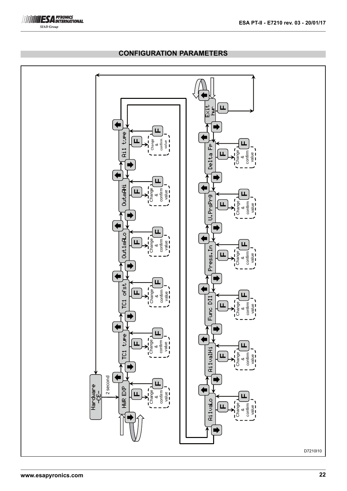

#### **www.esapyronics.com 22** Hardware -CE- TC1 type HWR EXP TC1 ofst Out1mALo OutmAHi Ai1 type Press.In U.PrsPrg Delta Fp Ai1valHi Ai1vaLo Func DI1 Exit hwr **F**Change & confirm ्ल Change & confirm value 2 second **FFF**Change &ā confirm value **FF**Change &confirm ا $\bar{\pi}$ Change &confirm value **FFFF**Change &confirm  $\overline{\mathfrak{a}}$ **FFFF**Change & confirm value Change & confirm value **FFFF**Change &confirm value **FF**Change &confirm value Change & confirm value **FF**Change & confirm value **FFF**D7210I10

# **CONFIGURATION PARAMETERS**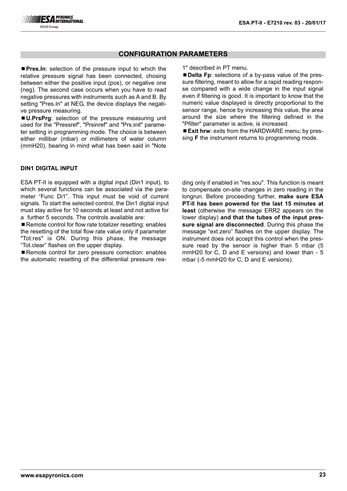■ Pres.In: selection of the pressure input to which the relative pressure signal has been connected, chosing between either the positive input (pos), or negative one (neg). The second case occurs when you have to read negative pressures with instruments such as A and B. By setting "Pres.In" at NEG, the device displays the negative pressure measuring.

¾**U.PrsPrg**: selection of the pressure measuring unit used for the "Pressref", "Prsinref" and "Prs.init" parameter setting in programming mode. The choice is between either millibar (mbar) or millimeters of water column (mmH20), bearing in mind what has been said in "Note

#### **DIN1 DIGITAL INPUT**

ESA PT-II is equipped with a digital input (Din1 input), to which several functions can be associated via the parameter "Func Di1". This input must be void of current signals. To start the selected control, the Din1 digital input must stay active for 10 seconds at least and not active for a further 5 seconds. The controls available are:

■ Remote control for flow rate totalizer resetting: enables the resetting of the total flow rate value only if parameter "Tot.res" is ON. During this phase, the message "Tot.clear" flashes on the upper display.

■ Remote control for zero pressure correction: enables the automatic resetting of the differential pressure rea1" described in PT menu.

■ **Delta Fp**: selections of a by-pass value of the pressure filtering, meant to allow for a rapid reading response compared with a wide change in the input signal even if filtering is good. It is important to know that the numeric value displayed is directly proportional to the sensor range, hence by increasing this value, the area around the size where the filtering defined in the "Pfilter" parameter is active, is increased.

■ **Exit hrw**: exits from the HARDWARE menu; by pressing **F** the instrument returns to programming mode.

ding only if enabled in "res.sou". This function is meant to compensate on-site changes in zero reading in the longrun. Before proceeding further, **make sure ESA PT-II has been powered for the last 15 minutes at least** (otherwise the message ERR2 appears on the lower display) **and that the tubes of the input pressure signal are disconnected**. During this phase the message "ext.zero" flashes on the upper display. The instrument does not accept this control when the pressure read by the sensor is higher than 5 mbar (5 mmH20 for C, D and E versions) and lower than - 5 mbar (-5 mmH20 for C, D and E versions).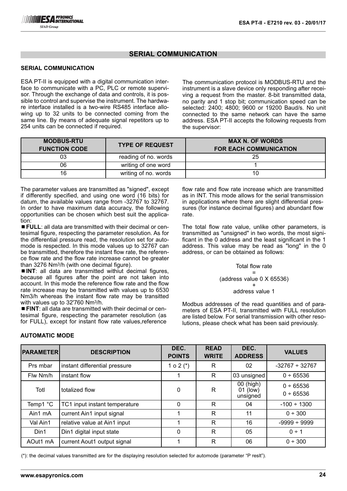#### **SERIAL COMMUNICATION**

ESA PT-II is equipped with a digital communication interface to communicate with a PC, PLC or remote supervisor. Through the exchange of data and controls, it is possible to control and supervise the instrument. The hardware interface installed is a two-wire RS485 interface allowing up to 32 units to be connected coming from the same line. By means of adequate signal repetitors up to 254 units can be connected if required.

The communication protocol is MODBUS-RTU and the instrument is a slave device only responding after receiving a request from the master. 8-bit transmitted data, no parity and 1 stop bit; communication speed can be selected: 2400; 4800; 9600 or 19200 Baud/s. No unit connected to the same network can have the same address. ESA PT-II accepts the following requests from the supervisor:

| <b>MODBUS-RTU</b><br><b>FUNCTION CODE</b> | <b>TYPE OF REQUEST</b> | <b>MAX N. OF WORDS</b><br><b>FOR EACH COMMUNICATION</b> |
|-------------------------------------------|------------------------|---------------------------------------------------------|
| 03                                        | reading of no. words   | 25                                                      |
| 06                                        | writing of one word    |                                                         |
| 16                                        | writing of no. words   |                                                         |

The parameter values are transmitted as "signed", except if differently specified, and using one word (16 bits) for datum, the available values range from -32767 to 32767. In order to have maximum data accuracy, the following opportunities can be chosen which best suit the application:

■ **FULL**: all data are transmitted with their decimal or centesimal figure, respecting the parameter resolution. As for the differential pressure read, the resolution set for automode is respected. In this mode values up to 32767 can be transmitted, therefore the instant flow rate, the reference flow rate and the flow rate increase cannot be greater than 3276 Nm3/h (with one decimal figure).

■ **INT**: all data are transmitted withiut decimal figures, because all figures after the point are not taken into account. In this mode the reference flow rate and the flow rate increase may be transmitted with values up to 6530 Nm3/h whereas the instant flow rate may be transitted with values up to 32'760 Nm3/h.

¾**FINT**: all data are transmitted with their decimal or centesimal figure, respecting the parameter resolution (as for FULL), except for instant flow rate values,reference flow rate and flow rate increase which are transmitted as in INT. This mode allows for the serial transmission in applications where there are slight differential pressures (for instance decimal figures) and abundant flow rate.

The total flow rate value, unlike other parameters, is transmitted as "unsigned" in two words, the most significant in the 0 address and the least significant in the 1 address. This value may be read as "long" in the 0 address, or can be obtained as follows:

#### Total flow rate

= (address value 0 X 65536) +

#### address value 1

Modbus addresses of the read quantities and of parameters of ESA PT-II, transmitted with FULL resolution are listed below. For serial transmission with other resolutions, please check what has been said previously.

| <b>PARAMETER</b> | <b>DESCRIPTION</b>            | DEC.<br><b>POINTS</b> | <b>READ</b><br><b>WRITE</b> | DEC.<br><b>ADDRESS</b>            | <b>VALUES</b>            |
|------------------|-------------------------------|-----------------------|-----------------------------|-----------------------------------|--------------------------|
| Prs mbar         | instant differential pressure | $0.2$ (*)             | R                           | 02                                | $-32767 \div 32767$      |
| Flw Nm/h         | instant flow                  |                       | R                           | 03 unsigned                       | $0 + 65536$              |
| Totl             | totalized flow                | 0                     | R                           | 00 (high)<br>01 (low)<br>unsigned | 0 ÷ 65536<br>$0 + 65536$ |
| Temp1 °C         | TC1 input instant temperature | 0                     | R                           | 04                                | $-100 \div 1300$         |
| Ain1 mA          | current Ain1 input signal     |                       | R                           | 11                                | 0 ÷ 300                  |
| Val Ain1         | relative value at Ain1 input  |                       | R                           | 16                                | $-9999 \div 9999$        |
| Din1             | Din1 digital input state      | 0                     | R                           | 05                                | $0 \div 1$               |
| AOut1 mA         | current Aout1 output signal   | 1                     | R                           | 06                                | 0 ÷ 300                  |

## **AUTOMATIC MODE**

(\*): the decimal values transmitted are for the displaying resolution selected for automode (parameter "P reslt").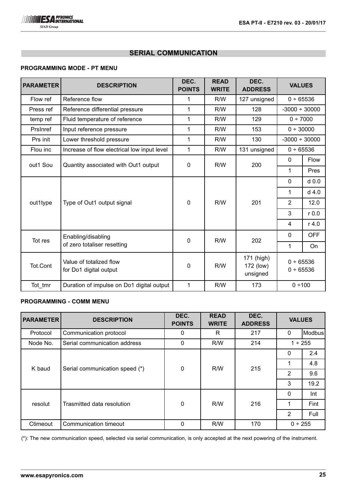

## **PROGRAMMING MODE - PT MENU**

| <b>PARAMETER</b> | <b>DESCRIPTION</b>                                    | DEC.<br><b>POINTS</b> | <b>READ</b><br><b>WRITE</b> | DEC.<br><b>ADDRESS</b>              | <b>VALUES</b>          |             |             |
|------------------|-------------------------------------------------------|-----------------------|-----------------------------|-------------------------------------|------------------------|-------------|-------------|
| Flow ref         | Reference flow                                        | 1                     | R/W                         | 127 unsigned                        | 0 ÷ 65536              |             |             |
| Press ref        | Reference differential pressure                       | 1                     | R/W                         | 128                                 | $-3000 \div 30000$     |             |             |
| temp ref         | Fluid temperature of reference                        | 1                     | R/W                         | 129                                 | 0 ÷ 7000               |             |             |
| Prsinref         | Input reference pressure                              | 1                     | R/W                         | 153                                 | 0 ÷ 30000              |             |             |
| Prs init         | Lower threshold pressure                              | 1                     | R/W                         | 130                                 | $-3000 \div 30000$     |             |             |
| Flou inc         | Increase of flow electrical low input level           | 1                     | R/W                         | 131 unsigned                        | 0 ÷ 65536              |             |             |
| out1 Sou         | Quantity associated with Out1 output                  |                       |                             | 0<br>R/W                            | 200                    | $\mathbf 0$ | <b>Flow</b> |
|                  |                                                       |                       |                             |                                     | 1                      | Pres        |             |
|                  | Type of Out1 output signal                            |                       |                             |                                     | 0                      | $d$ 0.0     |             |
|                  |                                                       |                       |                             |                                     | 1                      | $d$ 4.0     |             |
| out1type         |                                                       | $\overline{0}$        | R/W                         | 201                                 | $\overline{2}$         | 12.0        |             |
|                  |                                                       |                       |                             |                                     | 3                      | $r$ 0.0     |             |
|                  |                                                       |                       |                             |                                     | 4                      | $r$ 4.0     |             |
|                  | Enabling/disabling                                    |                       | R/W                         | 202                                 | 0                      | <b>OFF</b>  |             |
|                  | $\mathbf 0$<br>Tot res<br>of zero totaliser resetting |                       |                             |                                     | 1                      | On          |             |
| Tot.Cont         | Value of totalized flow<br>for Do1 digital output     | $\mathbf 0$           | R/W                         | 171 (high)<br>172 (low)<br>unsigned | 0 ÷ 65536<br>0 ÷ 65536 |             |             |
| Tot_tmr          | Duration of impulse on Do1 digital output             | $\mathbf{1}$          | R/W                         | 173                                 | 0 ÷ 100                |             |             |

## **PROGRAMMING - COMM MENU**

| <b>PARAMETER</b> | <b>DESCRIPTION</b>             | DEC.<br><b>POINTS</b> | <b>READ</b><br><b>WRITE</b> | DEC.<br><b>ADDRESS</b> | <b>VALUES</b>  |         |
|------------------|--------------------------------|-----------------------|-----------------------------|------------------------|----------------|---------|
| Protocol         | Communication protocol         | 0                     | R                           | 217                    | $\mathbf{0}$   | Modbus  |
| Node No.         | Serial communication address   | $\Omega$              | R/W                         | 214                    |                | 1 ÷ 255 |
|                  | Serial communication speed (*) |                       |                             |                        | 0              | 2.4     |
| K baud           |                                | $\mathbf{0}$          | R/W                         | 215                    |                | 4.8     |
|                  |                                |                       |                             |                        | $\overline{2}$ | 9.6     |
|                  |                                |                       |                             |                        | 3              | 19.2    |
|                  |                                |                       |                             |                        | $\mathbf{0}$   | Int     |
| resolut          | Trasmitted data resolution     | $\Omega$              | R/W                         | 216                    | 1              | Fint    |
|                  |                                |                       |                             |                        | $\overline{2}$ | Full    |
| Ctimeout         | Communication timeout          | $\Omega$              | R/W                         | 170                    | $0 \div 255$   |         |

(\*): The new communication speed, selected via serial communication, is only accepted at the next powering of the instrument.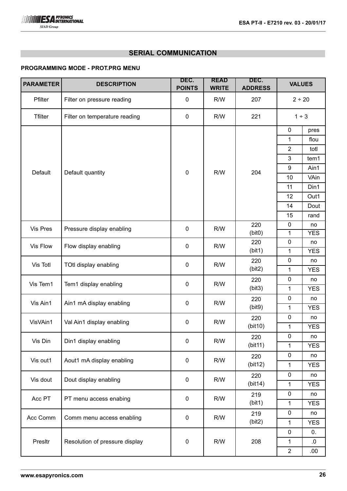## **PROGRAMMING MODE - PROT.PRG MENU**

| <b>PARAMETER</b> | <b>DESCRIPTION</b>             | DEC.<br><b>POINTS</b> | <b>READ</b>  | DEC.           | <b>VALUES</b>    |            |
|------------------|--------------------------------|-----------------------|--------------|----------------|------------------|------------|
|                  |                                |                       | <b>WRITE</b> | <b>ADDRESS</b> |                  |            |
| Pfilter          | Filter on pressure reading     | 0                     | R/W          | 207            | 2 ÷ 20           |            |
| <b>Tfilter</b>   | Filter on temperature reading  | $\mathbf 0$           | R/W          | 221            | 1 ÷ 3            |            |
|                  |                                |                       |              |                | $\mathbf 0$      | pres       |
|                  |                                |                       |              |                | 1                | flou       |
|                  |                                |                       |              |                | $\overline{2}$   | totl       |
|                  |                                |                       |              |                | 3                | tem1       |
| Default          | Default quantity               | $\boldsymbol{0}$      | R/W          | 204            | $\boldsymbol{9}$ | Ain1       |
|                  |                                |                       |              |                | 10               | VAin       |
|                  |                                |                       |              |                | 11               | Din1       |
|                  |                                |                       |              |                | 12               | Out1       |
|                  |                                |                       |              |                | 14               | Dout       |
|                  |                                |                       |              |                | 15               | rand       |
| Vis Pres         | Pressure display enabling      | $\pmb{0}$             | R/W          | 220            | $\mathbf 0$      | no         |
|                  |                                |                       |              | (bit0)         | 1                | <b>YES</b> |
| Vis Flow         | Flow display enabling          | $\mathbf 0$           | R/W          | 220            | $\mathbf 0$      | no         |
|                  |                                |                       |              | (bit1)         | 1                | <b>YES</b> |
| Vis Totl         | TOtl display enabling          | $\boldsymbol{0}$      | R/W          | 220            | $\mathbf 0$      | no         |
|                  |                                |                       |              | (bit2)         | 1                | <b>YES</b> |
| Vis Tem1         | Tem1 display enabling          | $\mathbf 0$           | R/W          | 220            | $\mathbf 0$      | no         |
|                  |                                |                       |              | (bit3)         | 1                | <b>YES</b> |
| Vis Ain1         | Ain1 mA display enabling       | $\mathbf 0$           | R/W          | 220            | $\mathbf 0$      | no         |
|                  |                                |                       |              | (bit9)         | 1                | <b>YES</b> |
| VisVAin1         | Val Ain1 display enabling      | $\mathbf 0$           | R/W          | 220            | $\mathbf 0$      | no         |
|                  |                                |                       |              | (bit10)        | 1                | <b>YES</b> |
| Vis Din          | Din1 display enabling          | $\mathbf 0$           | R/W          | 220            | 0                | no         |
|                  |                                |                       |              | (bit11)        | $\mathbf{1}$     | <b>YES</b> |
| Vis out1         | Aout1 mA display enabling      | $\pmb{0}$             | R/W          | 220            | $\mathbf 0$      | no         |
|                  |                                |                       |              | (bit12)        | 1                | <b>YES</b> |
| Vis dout         | Dout display enabling          | $\mathbf 0$           | R/W          | 220            | 0                | no         |
|                  |                                |                       |              | (bit14)        | 1                | <b>YES</b> |
| Acc PT           | PT menu access enabing         | $\mathbf 0$           | R/W          | 219            | $\mathbf 0$      | no         |
|                  |                                |                       |              | (bit1)         | $\mathbf{1}$     | <b>YES</b> |
| Acc Comm         | Comm menu access enabling      | $\mathbf 0$           | R/W          | 219            | $\mathbf 0$      | no         |
|                  |                                |                       |              | (bit2)         | 1                | <b>YES</b> |
|                  |                                |                       |              |                | $\mathbf 0$      | 0.         |
| Presltr          | Resolution of pressure display | $\pmb{0}$             | R/W          | 208            | $\mathbf{1}$     | 0.         |
|                  |                                |                       |              |                | $\overline{2}$   | .00.       |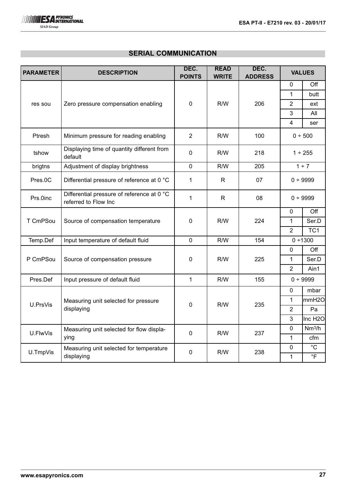

| <b>PARAMETER</b> | <b>DESCRIPTION</b>                                                 | DEC.<br><b>POINTS</b> | <b>READ</b><br><b>WRITE</b> | DEC.<br><b>ADDRESS</b> | <b>VALUES</b>  |                     |
|------------------|--------------------------------------------------------------------|-----------------------|-----------------------------|------------------------|----------------|---------------------|
|                  |                                                                    |                       |                             |                        | 0              | Off                 |
|                  |                                                                    |                       |                             |                        | 1              | butt                |
| res sou          | Zero pressure compensation enabling                                | $\mathbf 0$           | R/W                         | 206                    | $\overline{2}$ | ext                 |
|                  |                                                                    |                       |                             |                        | $\mathfrak{B}$ | All                 |
|                  |                                                                    |                       |                             |                        | 4              | ser                 |
| Ptresh           | Minimum pressure for reading enabling                              | $\overline{2}$        | R/W                         | 100                    |                | 0 ÷ 500             |
| tshow            | Displaying time of quantity different from<br>default              | $\mathbf 0$           | R/W                         | 218                    |                | 1 ÷ 255             |
| brigtns          | Adjustment of display brightness                                   | $\mathbf 0$           | R/W                         | 205                    |                | 1 ÷ 7               |
| Pres.0C          | Differential pressure of reference at 0 °C                         | 1                     | $\mathsf{R}$                | 07                     |                | 0 ÷ 9999            |
| Prs.0inc         | Differential pressure of reference at 0 °C<br>referred to Flow Inc | 1                     | R                           | 08                     |                | 0 ÷ 9999            |
|                  |                                                                    |                       |                             |                        | $\mathbf 0$    | Off                 |
| T CmPSou         | Source of compensation temperature                                 | $\mathbf{0}$          | R/W                         | 224                    | 1              | Ser.D               |
|                  |                                                                    |                       |                             |                        | $\overline{2}$ | TC <sub>1</sub>     |
| Temp.Def         | Input temperature of default fluid                                 | $\mathbf 0$           | R/W                         | 154                    | $0 + 1300$     |                     |
|                  |                                                                    |                       |                             |                        | 0              | Off                 |
| P CmPSou         | Source of compensation pressure                                    | $\mathbf 0$           | R/W                         | 225                    | $\mathbf{1}$   | Ser.D               |
|                  |                                                                    |                       |                             |                        | $\overline{2}$ | Ain1                |
| Pres.Def         | Input pressure of default fluid                                    | 1                     | R/W                         | 155                    |                | $0 + 9999$          |
|                  |                                                                    |                       |                             |                        | 0              | mbar                |
| U.PrsVis         | Measuring unit selected for pressure                               | $\mathbf 0$           | R/W                         | 235                    | 1              | mmH <sub>20</sub>   |
|                  | displaying                                                         |                       |                             |                        | $\overline{2}$ | Pa                  |
|                  |                                                                    |                       |                             |                        | 3              | Inc H <sub>2O</sub> |
| U.FlwVis         | Measuring unit selected for flow displa-                           | $\mathbf 0$           | R/W                         | 237                    | $\mathbf 0$    | Nm <sup>3</sup> /h  |
|                  | ying                                                               |                       |                             | $\mathbf{1}$           | cfm            |                     |
| U.TmpVis         | Measuring unit selected for temperature                            | $\mathbf 0$           | R/W                         | 238                    | $\mathbf 0$    | $^{\circ}C$         |
|                  | displaying                                                         |                       |                             |                        | $\mathbf{1}$   | $\circ$ F           |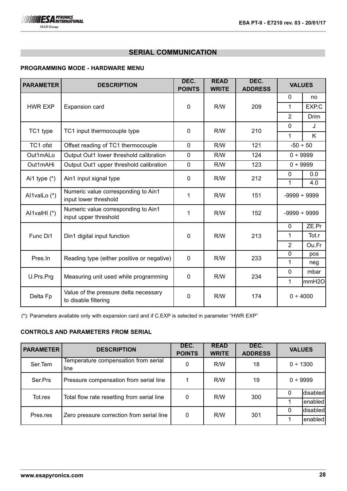# **PROGRAMMING MODE - HARDWARE MENU**

| <b>PARAMETER</b> | <b>DESCRIPTION</b>                                            | DEC.<br><b>POINTS</b> | <b>READ</b><br><b>WRITE</b> | DEC.<br><b>ADDRESS</b> | <b>VALUES</b>     |              |
|------------------|---------------------------------------------------------------|-----------------------|-----------------------------|------------------------|-------------------|--------------|
|                  |                                                               |                       |                             |                        | $\mathbf{0}$      | no           |
| <b>HWR EXP</b>   | Expansion card                                                | 0                     | R/W                         | 209                    | 1                 | EXP.C        |
|                  |                                                               |                       |                             |                        | $\overline{2}$    | <b>Drim</b>  |
| TC1 type         | TC1 input thermocouple type                                   | 0                     | R/W                         | 210                    | $\mathbf 0$       | $\mathbf{J}$ |
|                  |                                                               |                       |                             |                        | 1                 | K            |
| TC1 ofst         | Offset reading of TC1 thermocouple                            | $\overline{0}$        | R/W                         | 121                    | $-50 \div 50$     |              |
| Out1mALo         | Output Out1 lower threshold calibration                       | $\overline{0}$        | R/W                         | 124                    | 0 ÷ 9999          |              |
| Out1mAHi         | Output Out1 upper threshold calibration                       | $\overline{0}$        | R/W                         | 123                    | 0 ÷ 9999          |              |
| Ai1 type $(*)$   | Ain1 input signal type                                        | $\overline{0}$        | R/W                         | 212                    | 0                 | 0.0          |
|                  |                                                               |                       |                             |                        | 1                 | 4.0          |
| Al1valLo (*)     | Numeric value corresponding to Ain1<br>input lower threshold  | 1                     | R/W                         | 151                    | $-9999 \div 9999$ |              |
| Al1valHI (*)     | Numeric value corresponding to Ain1<br>input upper threshold  | 1                     | R/W                         | 152                    | $-9999 \div 9999$ |              |
|                  |                                                               |                       |                             |                        | $\mathbf{0}$      | ZE.Pr        |
| Func Di1         | Din1 digital input function                                   | 0                     | R/W                         | 213                    | 1                 | Tot.r        |
|                  |                                                               |                       |                             |                        | $\overline{2}$    | Ou.Fr        |
| Pres.In          | Reading type (either positive or negative)                    | 0                     | R/W                         | 233                    | $\overline{0}$    | pos          |
|                  |                                                               |                       |                             |                        | 1                 | neg          |
| U.Prs.Prg        | Measuring unit used while programming                         | $\mathbf 0$           | R/W                         | 234                    | $\mathbf{0}$      | mbar         |
|                  |                                                               |                       |                             |                        | 1                 | mmH2O        |
| Delta Fp         | Value of the pressure delta necessary<br>to disable filtering | 0                     | R/W                         | 174                    | 0 ÷ 4000          |              |

(\*): Parameters available only with expansion card and if C.EXP is selected in parameter "HWR EXP"

# **CONTROLS AND PARAMETERS FROM SERIAL**

| <b>PARAMETER</b> | <b>DESCRIPTION</b>                           | DEC.<br><b>POINTS</b> | <b>READ</b><br><b>WRITE</b> | DEC.<br><b>ADDRESS</b> |   | <b>VALUES</b> |
|------------------|----------------------------------------------|-----------------------|-----------------------------|------------------------|---|---------------|
| Ser.Tem          | Temperature compensation from serial<br>line | 0                     | R/W                         | 18                     |   | 0 ÷ 1300      |
| Ser.Prs          | Pressure compensation from serial line       |                       | R/W                         | 19                     |   | $0 + 9999$    |
| Tot.res          | Total flow rate resetting from serial line   | 0                     | R/W                         | 300                    | 0 | disabled      |
|                  |                                              |                       |                             |                        |   | enabled       |
| Pres.res         |                                              | 0                     | R/W                         | 301                    | 0 | disabled      |
|                  | Zero pressure correction from serial line    |                       |                             |                        |   | enabled       |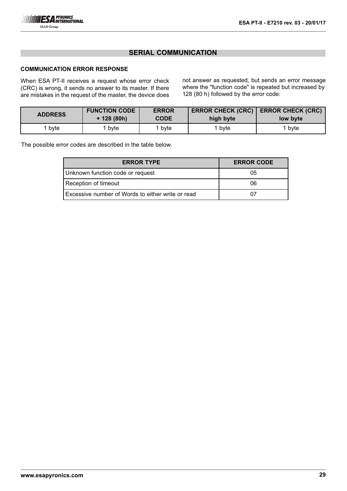

## **COMMUNICATION ERROR RESPONSE**

When ESA PT-II receives a request whose error check (CRC) is wrong, it sends no answer to its master. If there are mistakes in the request of the master, the device does not answer as requested, but sends an error message where the "function code" is repeated but increased by 128 (80 h) followed by the error code:

| <b>ADDRESS</b> | <b>FUNCTION CODE</b><br><b>ERROR</b><br>$+ 128 (80h)$<br><b>CODE</b> |      | <b>ERROR CHECK (CRC)</b><br>high byte | <b>ERROR CHECK (CRC)</b><br>low byte |  |
|----------------|----------------------------------------------------------------------|------|---------------------------------------|--------------------------------------|--|
| bvte           | byte                                                                 | bvte | bvte                                  | bvte                                 |  |

The possible error codes are described in the table below.

| <b>ERROR TYPE</b>                                 | <b>ERROR CODE</b> |
|---------------------------------------------------|-------------------|
| Unknown function code or request                  | 05                |
| Reception of timeout                              | 06                |
| Excessive number of Words to either write or read |                   |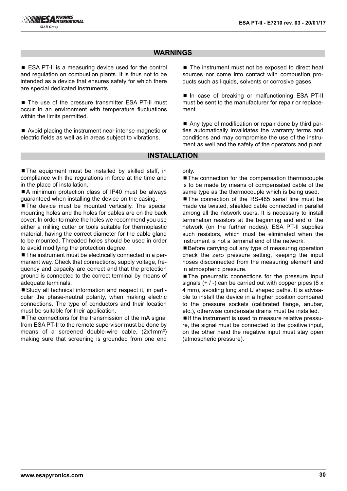# **WARNINGS**

■ ESA PT-II is a measuring device used for the control and regulation on combustion plants. It is thus not to be intended as a device that ensures safety for which there are special dedicated instruments.

■ The use of the pressure transmitter ESA PT-II must occur in an environment with temperature fluctuations within the limits permitted.

■ Avoid placing the instrument near intense magnetic or electric fields as well as in areas subject to vibrations.

■ The instrument must not be exposed to direct heat sources nor come into contact with combustion products such as liquids, solvents or corrosive gases.

■ In case of breaking or malfunctioning ESA PT-II must be sent to the manufacturer for repair or replacement.

■ Any type of modification or repair done by third parties automatically invalidates the warranty terms and conditions and may compromise the use of the instrument as well and the safety of the operators and plant.

### **INSTALLATION**

■ The equipment must be installed by skilled staff, in compliance with the regulations in force at the time and in the place of installation.

■A minimum protection class of IP40 must be always guaranteed when installing the device on the casing.

■ The device must be mounted vertically. The special mounting holes and the holes for cables are on the back cover. In order to make the holes we recommend you use either a milling cutter or tools suitable for thermoplastic material, having the correct diameter for the cable gland to be mounted. Threaded holes should be used in order to avoid modifying the protection degree.

■ The instrument must be electrically connected in a permanent way. Check that connections, supply voltage, frequency and capacity are correct and that the protection ground is connected to the correct terminal by means of adequate terminals.

■ Study all technical information and respect it, in particular the phase-neutral polarity, when making electric connections. The type of conductors and their location must be suitable for their application.

■ The connections for the transmission of the mA signal from ESA PT-II to the remote supervisor must be done by means of a screened double-wire cable, (2x1mm²) making sure that screening is grounded from one end only.

■ The connection for the compensation thermocouple is to be made by means of compensated cable of the same type as the thermocouple which is being used.

■The connection of the RS-485 serial line must be made via twisted, shielded cable connected in parallel among all the network users. It is necessary to install termination resistors at the beginning and end of the network (on the further nodes). ESA PT-II supplies such resistors, which must be eliminated when the instrument is not a terminal end of the network.

■ Before carrying out any type of measuring operation check the zero pressure setting, keeping the input hoses disconnected from the measuring element and in atmospheric pressure.

■ The pneumatic connections for the pressure input signals  $(+ / -)$  can be carried out with copper pipes (8 x 4 mm), avoiding long and U shaped paths. It is advisable to install the device in a higher position compared to the pressure sockets (calibrated flange, anubar, etc.), otherwise condensate drains must be installed.

■ If the instrument is used to measure relative pressure, the signal must be connected to the positive input, on the other hand the negative input must stay open (atmospheric pressure).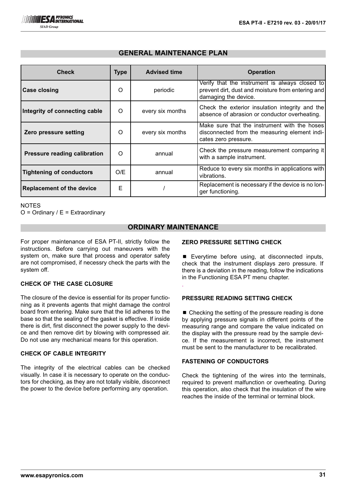| <b>Check</b>                        | <b>Type</b> | <b>Advised time</b> | <b>Operation</b>                                                                                                            |
|-------------------------------------|-------------|---------------------|-----------------------------------------------------------------------------------------------------------------------------|
| <b>Case closing</b>                 | O           | periodic            | Verify that the instrument is always closed to<br>prevent dirt, dust and moisture from entering and<br>damaging the device. |
| Integrity of connecting cable       | O           | every six months    | Check the exterior insulation integrity and the<br>absence of abrasion or conductor overheating.                            |
| Zero pressure setting               | $\Omega$    | every six months    | Make sure that the instrument with the hoses<br>disconnected from the measuring element indi-<br>cates zero pressure.       |
| <b>Pressure reading calibration</b> | $\Omega$    | annual              | Check the pressure measurement comparing it<br>with a sample instrument.                                                    |
| <b>Tightening of conductors</b>     | O/E         | annual              | Reduce to every six months in applications with<br>vibrations.                                                              |
| <b>Replacement of the device</b>    | Е           |                     | Replacement is necessary if the device is no lon-<br>ger functioning.                                                       |

# **GENERAL MAINTENANCE PLAN**

**NOTES** 

 $O =$  Ordinary /  $E =$  Extraordinary

# **ORDINARY MAINTENANCE**

.

For proper maintenance of ESA PT-II, strictly follow the instructions. Before carrying out maneuvers with the system on, make sure that process and operator safety are not compromised, if necessry check the parts with the system off.

## **CHECK OF THE CASE CLOSURE**

The closure of the device is essential for its proper functioning as it prevents agents that might damage the control board from entering. Make sure that the lid adheres to the base so that the sealing of the gasket is effective. If inside there is dirt, first disconnect the power supply to the device and then remove dirt by blowing with compressed air. Do not use any mechanical means for this operation.

## **CHECK OF CABLE INTEGRITY**

The integrity of the electrical cables can be checked visually. In case it is necessary to operate on the conductors for checking, as they are not totally visible, disconnect the power to the device before performing any operation.

### **ZERO PRESSURE SETTING CHECK**

 $\blacksquare$  Everytime before using, at disconnected inputs, check that the instrument displays zero pressure. If there is a deviation in the reading, follow the indications in the Functioning ESA PT menu chapter.

## **PRESSURE READING SETTING CHECK**

 $\blacksquare$  Checking the setting of the pressure reading is done by applying pressure signals in different points of the measuring range and compare the value indicated on the display with the pressure read by the sample device. If the measurement is incorrect, the instrument must be sent to the manufacturer to be recalibrated.

# **FASTENING OF CONDUCTORS**

Check the tightening of the wires into the terminals, required to prevent malfunction or overheating. During this operation, also check that the insulation of the wire reaches the inside of the terminal or terminal block.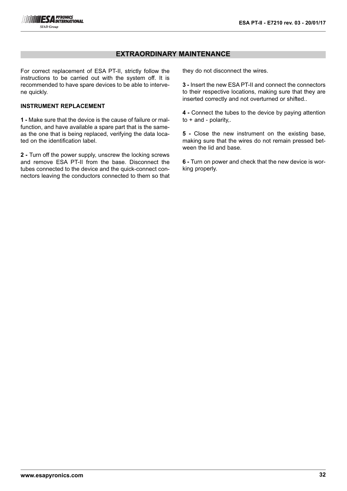## **EXTRAORDINARY MAINTENANCE**

For correct replacement of ESA PT-II, strictly follow the instructions to be carried out with the system off. It is recommended to have spare devices to be able to intervene quickly.

## **INSTRUMENT REPLACEMENT**

**1 -** Make sure that the device is the cause of failure or malfunction, and have available a spare part that is the sameas the one that is being replaced, verifying the data located on the identification label.

**2 -** Turn off the power supply, unscrew the locking screws and remove ESA PT-II from the base. Disconnect the tubes connected to the device and the quick-connect connectors leaving the conductors connected to them so that they do not disconnect the wires.

**3 -** Insert the new ESA PT-II and connect the connectors to their respective locations, making sure that they are inserted correctly and not overturned or shifted..

**4 -** Connect the tubes to the device by paying attention to + and - polarity,.

**5 -** Close the new instrument on the existing base, making sure that the wires do not remain pressed between the lid and base.

**6 -** Turn on power and check that the new device is working properly.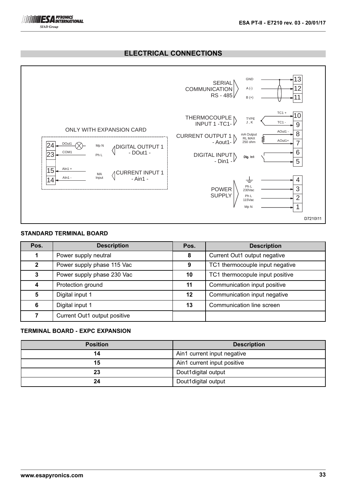# **ELECTRICAL CONNECTIONS**



## **STANDARD TERMINAL BOARD**

| Pos.           | <b>Description</b>           | Pos.    | <b>Description</b>              |
|----------------|------------------------------|---------|---------------------------------|
|                | Power supply neutral         | 8       | Current Out1 output negative    |
| $\overline{2}$ | Power supply phase 115 Vac   | 9       | TC1 thermocouple input negative |
| 3              | Power supply phase 230 Vac   | 10      | TC1 thermocopule input positive |
|                | Protection ground            | 11      | Communication input positive    |
| 5              | Digital input 1              | $12 \,$ | Communication input negative    |
| 6              | Digital input 1              | 13      | Communication line screen       |
|                | Current Out1 output positive |         |                                 |

## **TERMINAL BOARD - EXPC EXPANSION**

| <b>Position</b> | <b>Description</b>          |
|-----------------|-----------------------------|
| 14              | Ain1 current input negative |
| 15              | Ain1 current input positive |
| 23              | Dout1digital output         |
| 24              | Dout1digital output         |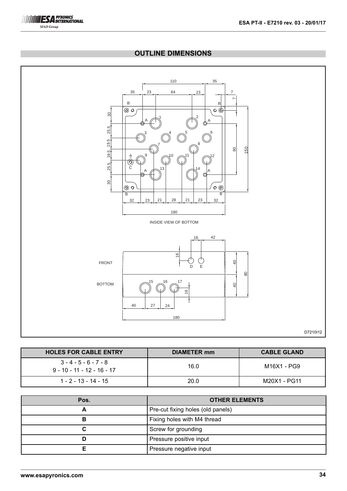

# **OUTLINE DIMENSIONS**



| <b>HOLES FOR CABLE ENTRY</b>                            | <b>DIAMETER mm</b> | <b>CABLE GLAND</b> |
|---------------------------------------------------------|--------------------|--------------------|
| $3 - 4 - 5 - 6 - 7 - 8$<br>$9 - 10 - 11 - 12 - 16 - 17$ | 16.0               | M16X1 - PG9        |
| $1 - 2 - 13 - 14 - 15$                                  | 20.0               | M20X1 - PG11       |

| Pos. | <b>OTHER ELEMENTS</b>             |
|------|-----------------------------------|
|      | Pre-cut fixing holes (old panels) |
|      | Fixing holes with M4 thread       |
|      | Screw for grounding               |
|      | Pressure positive input           |
|      | Pressure negative input           |